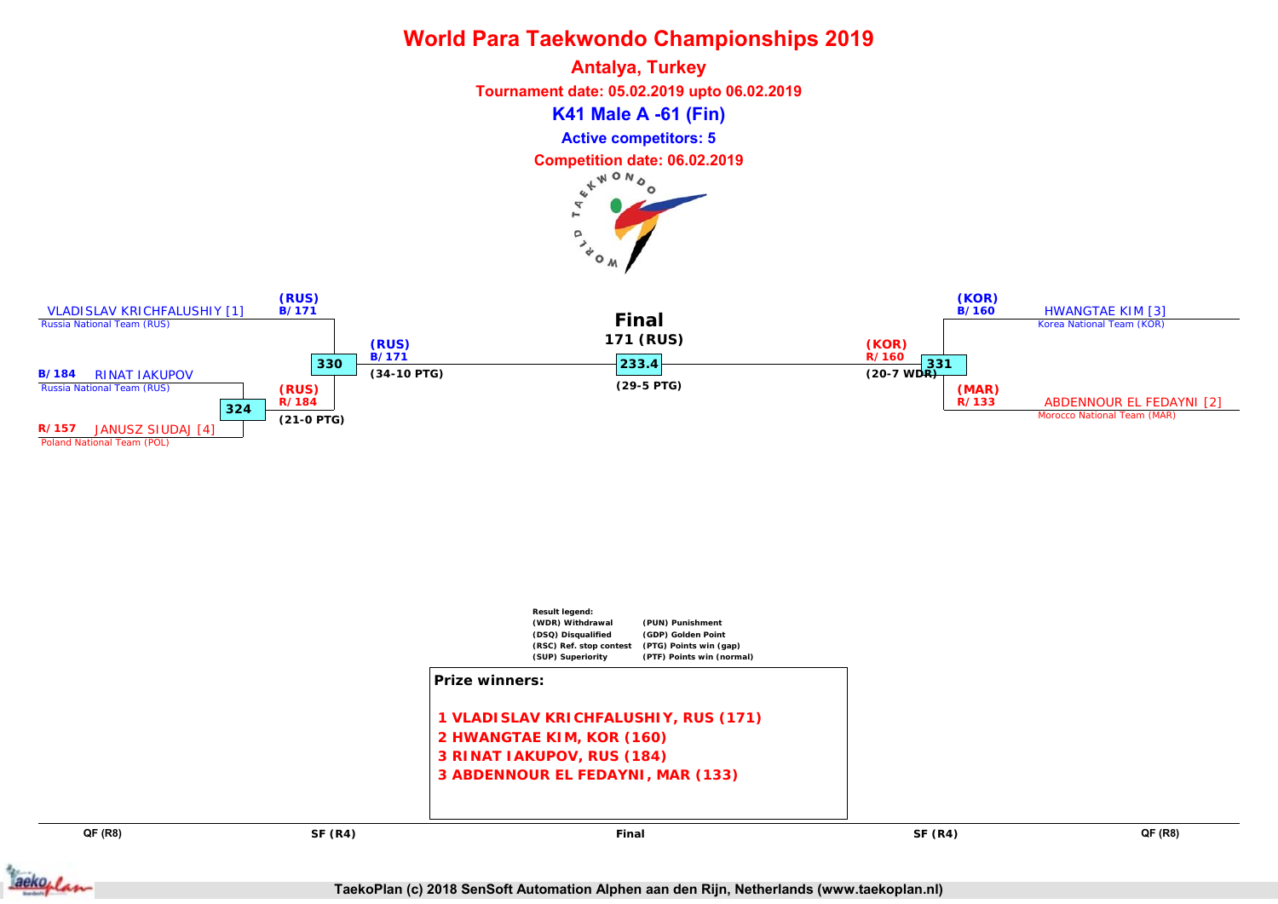

**Antalya, Turkey Tournament date: 05.02.2019 upto 06.02.2019 K41 Male A -61 (Fin) Active competitors: 5 Competition date: 06.02.2019** r.  $\circ$ 

 $\mathbf{r}_{\phi}$ 





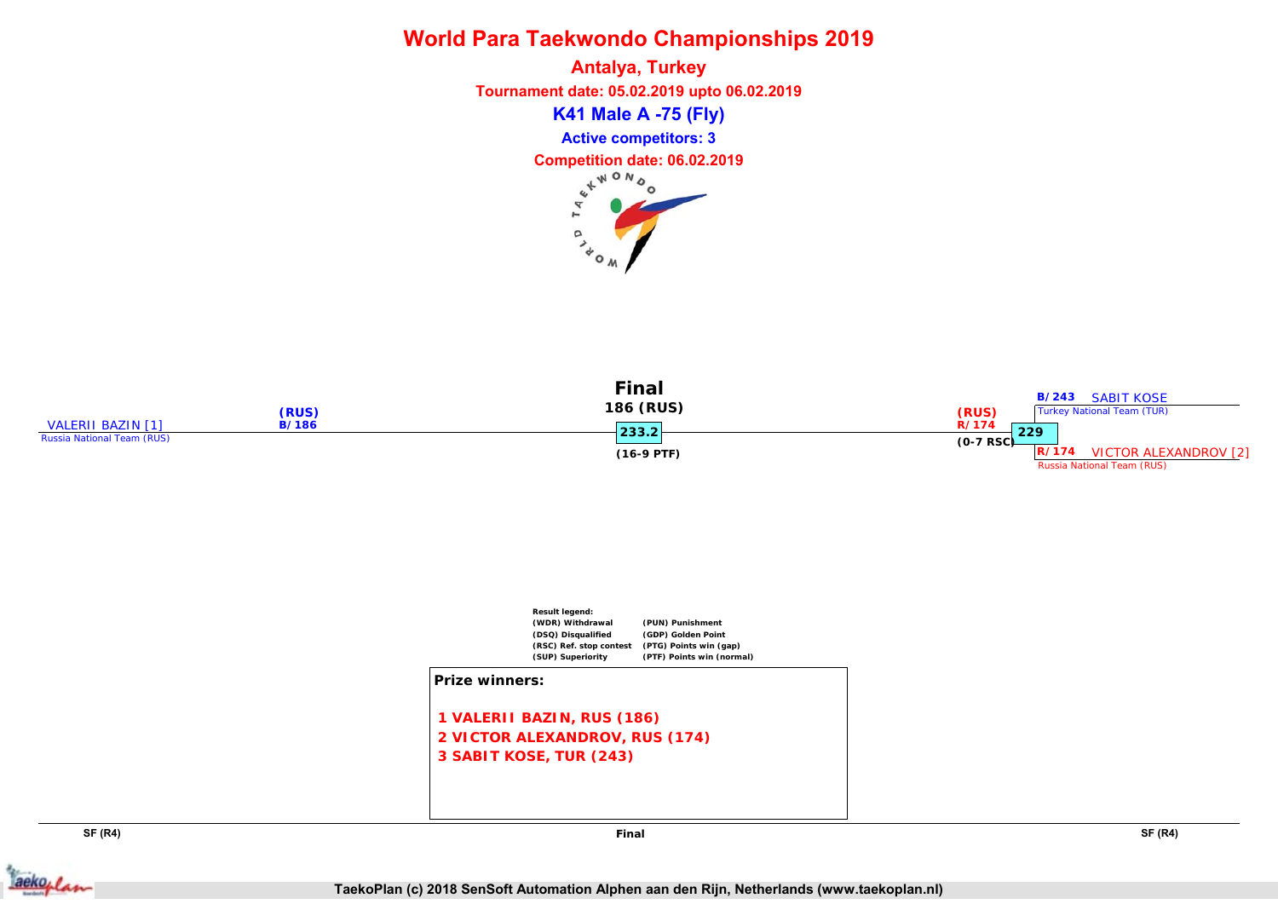**Antalya, Turkey Tournament date: 05.02.2019 upto 06.02.2019 K41 Male A -75 (Fly) Active competitors: 3 Competition date: 06.02.2019**  $\circ$ ر  $\lambda_{\rm o}$ 





**SF (R4) SF (R4)**



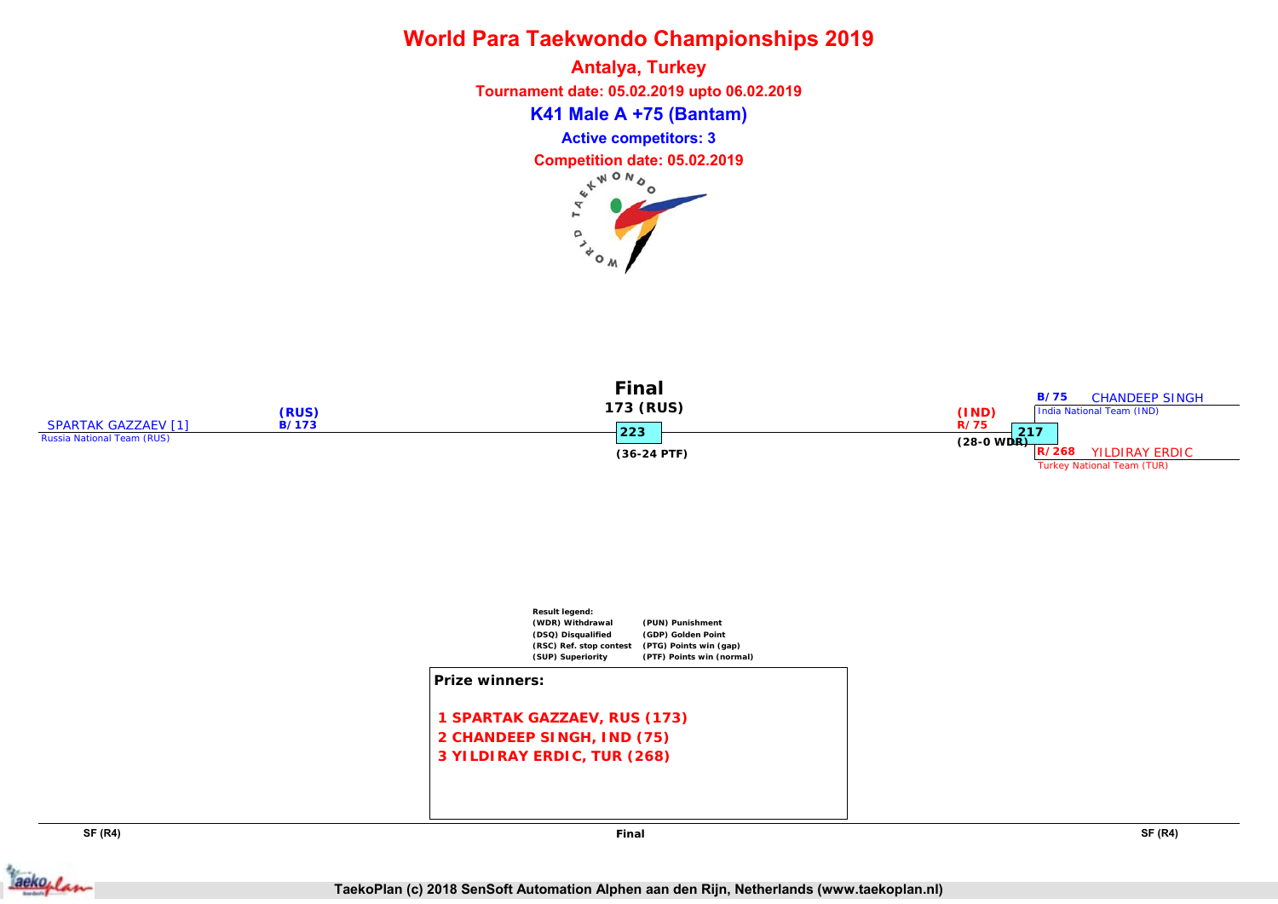**Antalya, Turkey Tournament date: 05.02.2019 upto 06.02.2019 K41 Male A +75 (Bantam) Active competitors: 3 Competition date: 05.02.2019** p

 $\lambda_{\rm o}$ 





**SF (R4) SF (R4)**



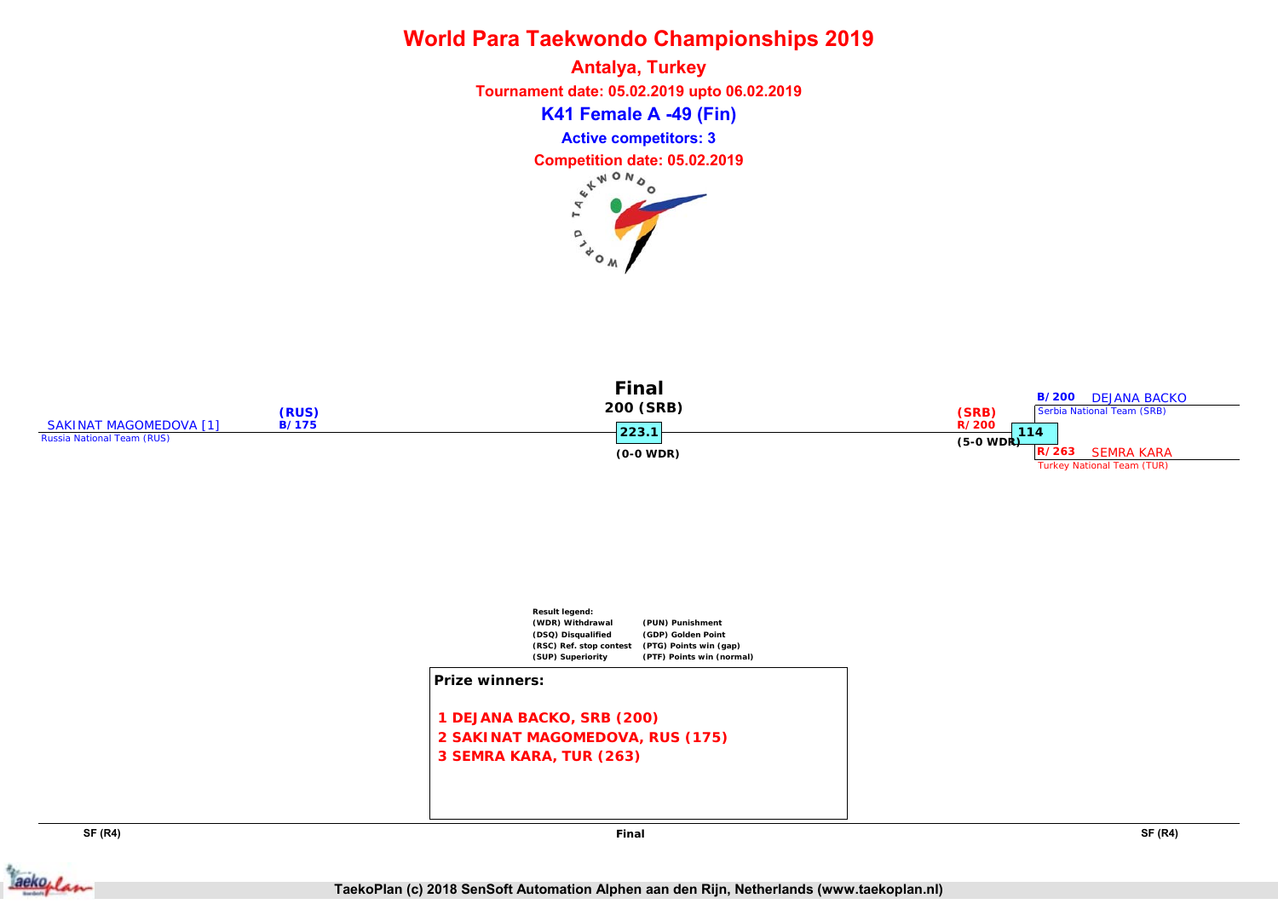**Antalya, Turkey Tournament date: 05.02.2019 upto 06.02.2019 K41 Female A -49 (Fin) Active competitors: 3 Competition date: 05.02.2019** p ر  $\lambda_{\rm o}$ 





**SF (R4) SF (R4)**

**Final**

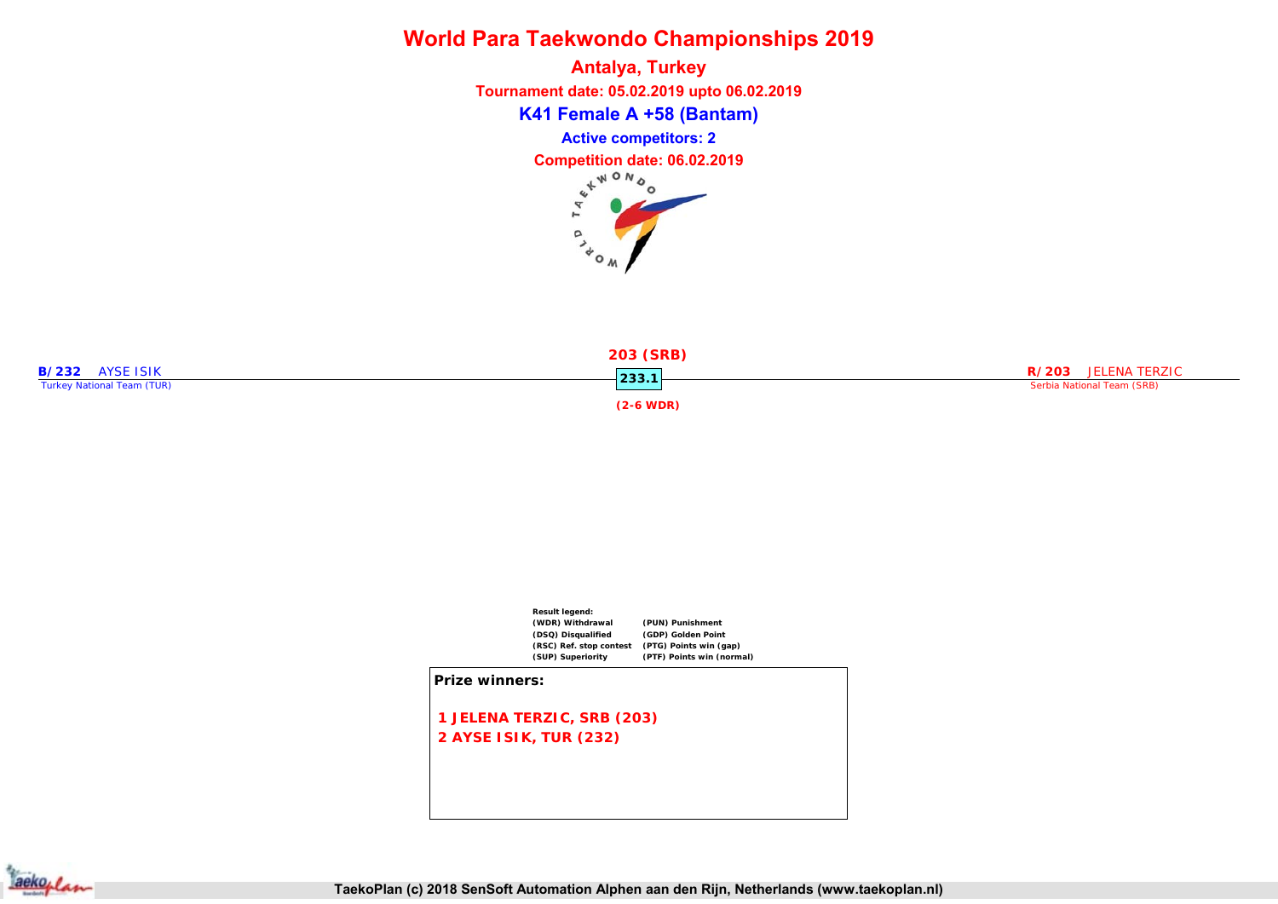**Antalya, Turkey Tournament date: 05.02.2019 upto 06.02.2019 K41 Female A +58 (Bantam) Active competitors: 2 Competition date: 06.02.2019**  $\circ$ 



 $\frac{1}{\sqrt{6}}$ 



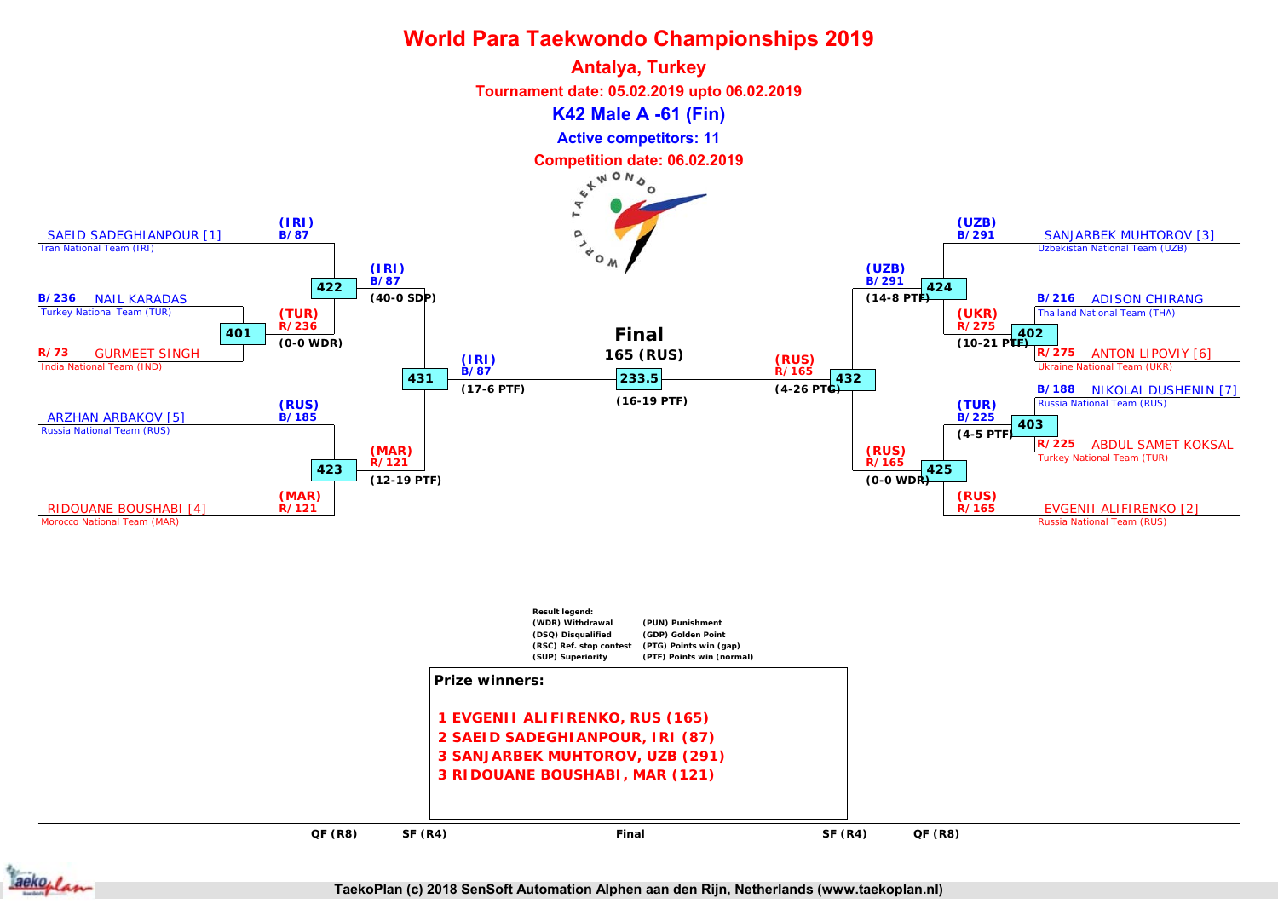

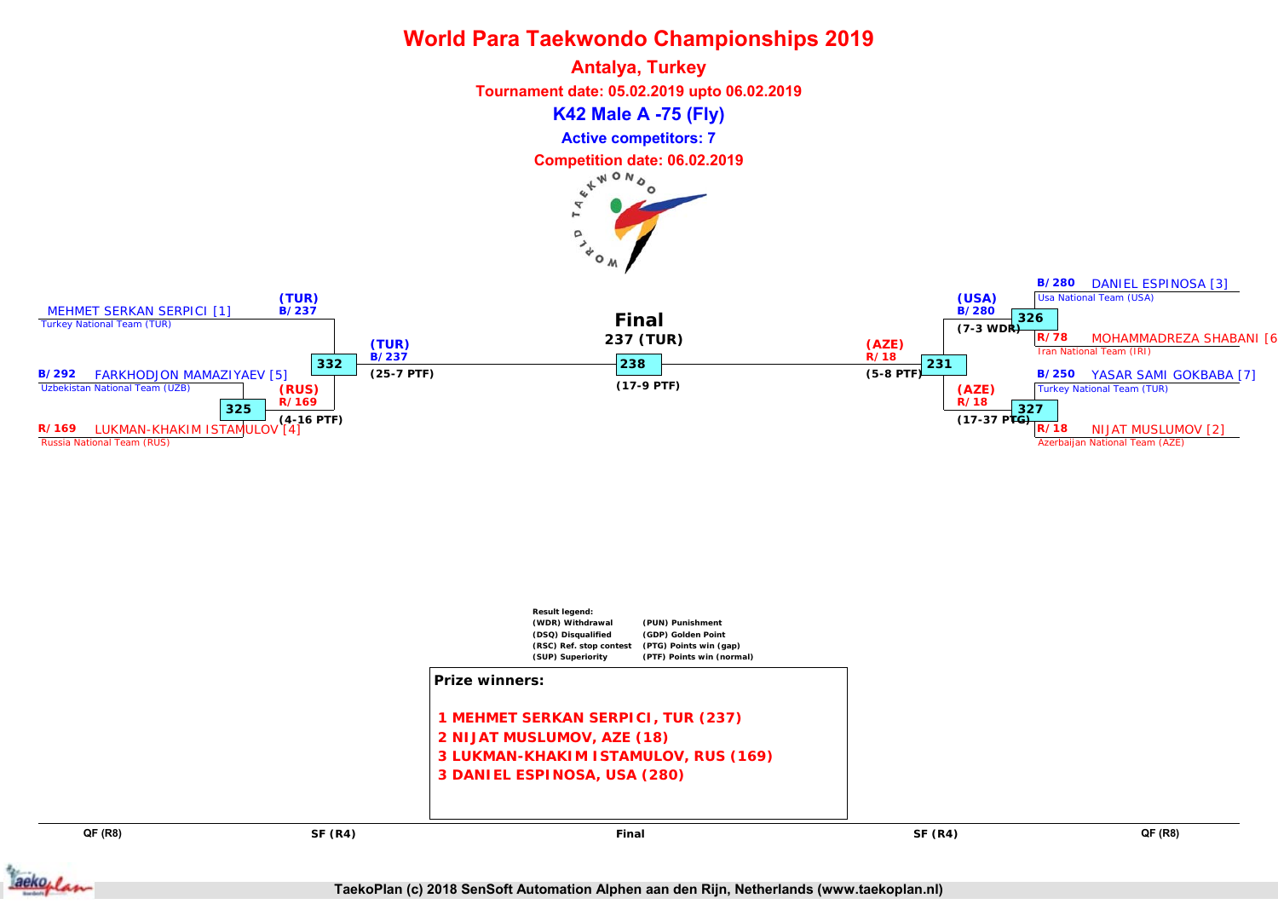



**QF (R8) QF (R8)**

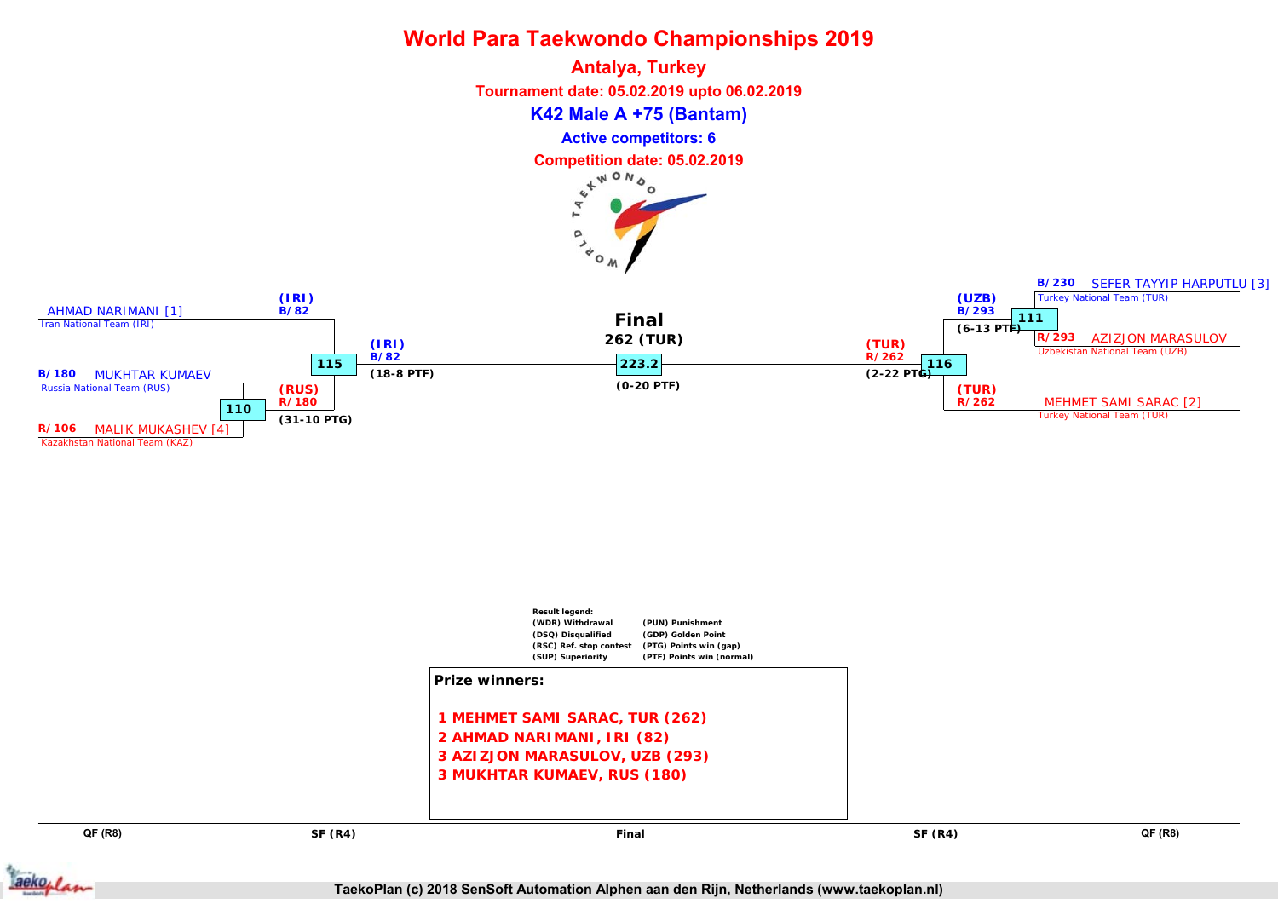



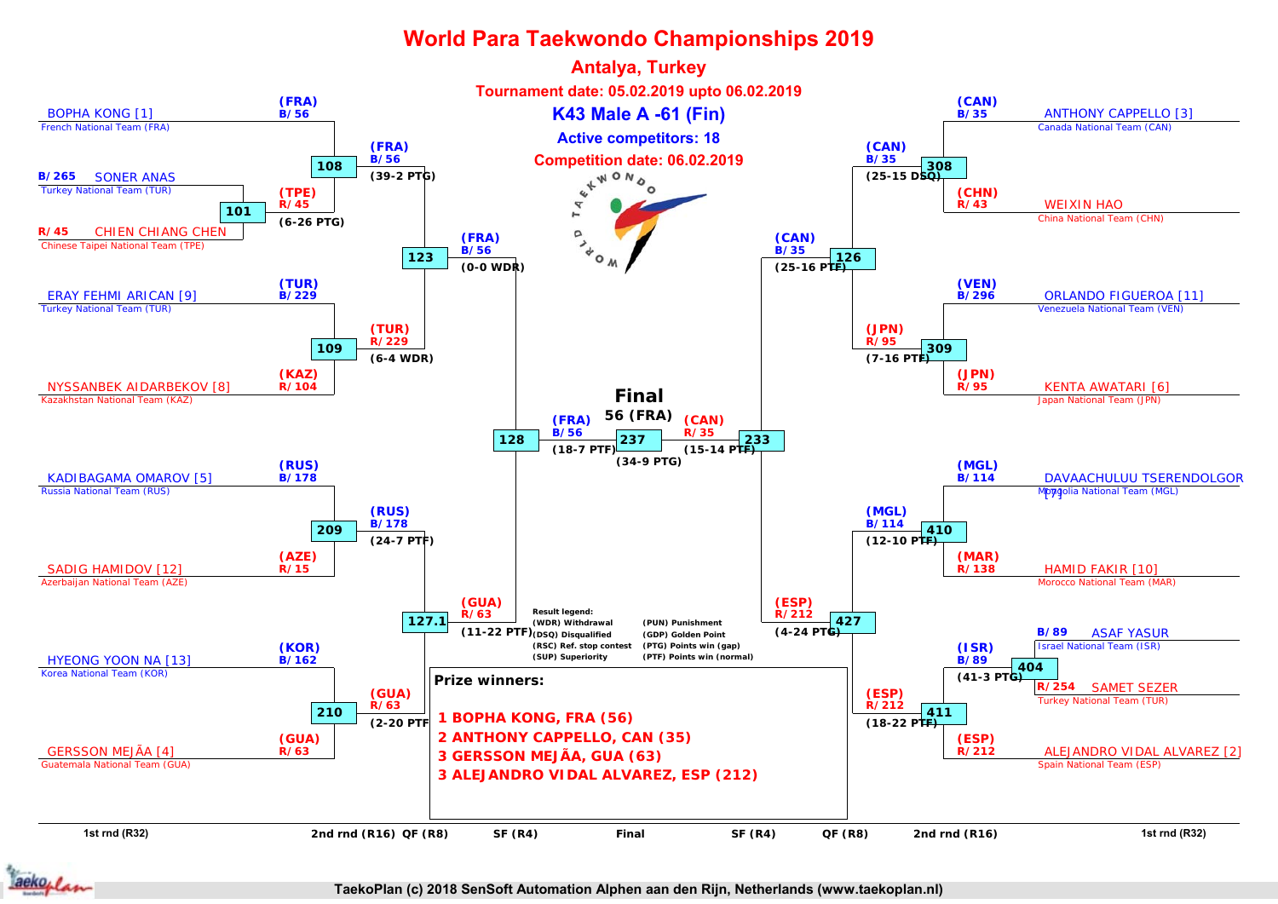

aekoplan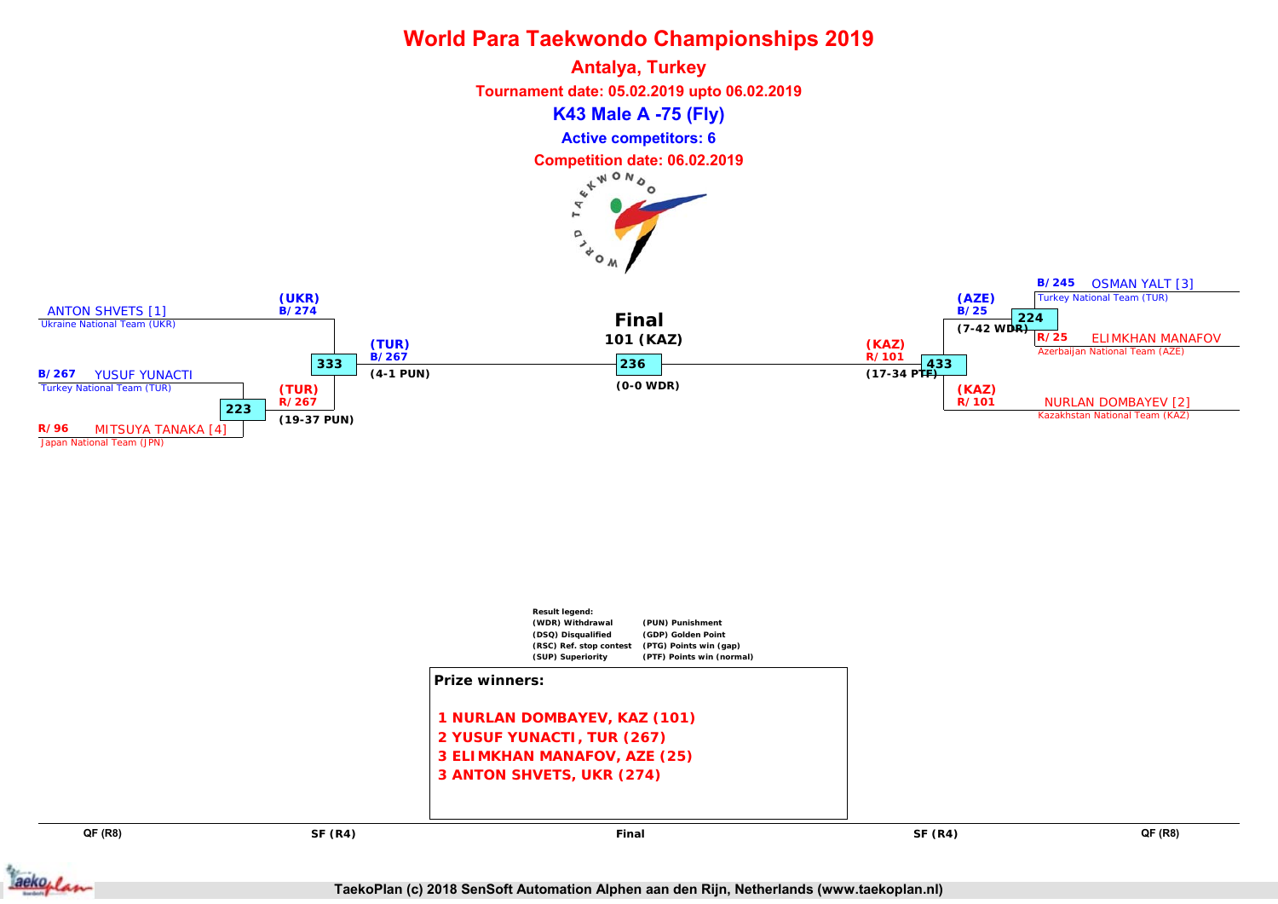



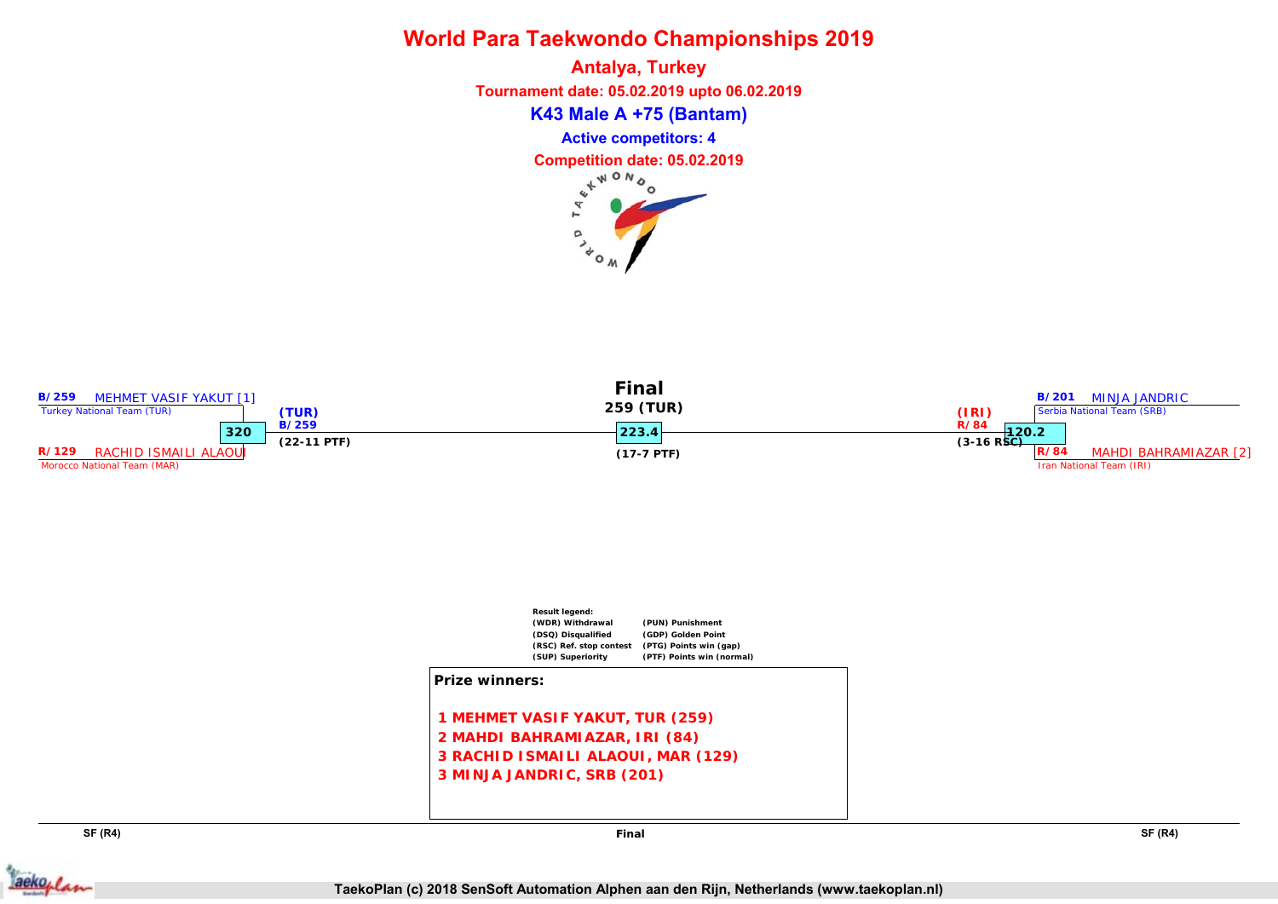**K43 Male A +75 (Bantam) Antalya, Turkey Tournament date: 05.02.2019 upto 06.02.2019 Competition date: 05.02.2019 Active competitors: 4**

> $\alpha$  $\lambda$ <sub> $\phi$ </sub>







**SF (R4) SF (R4)**

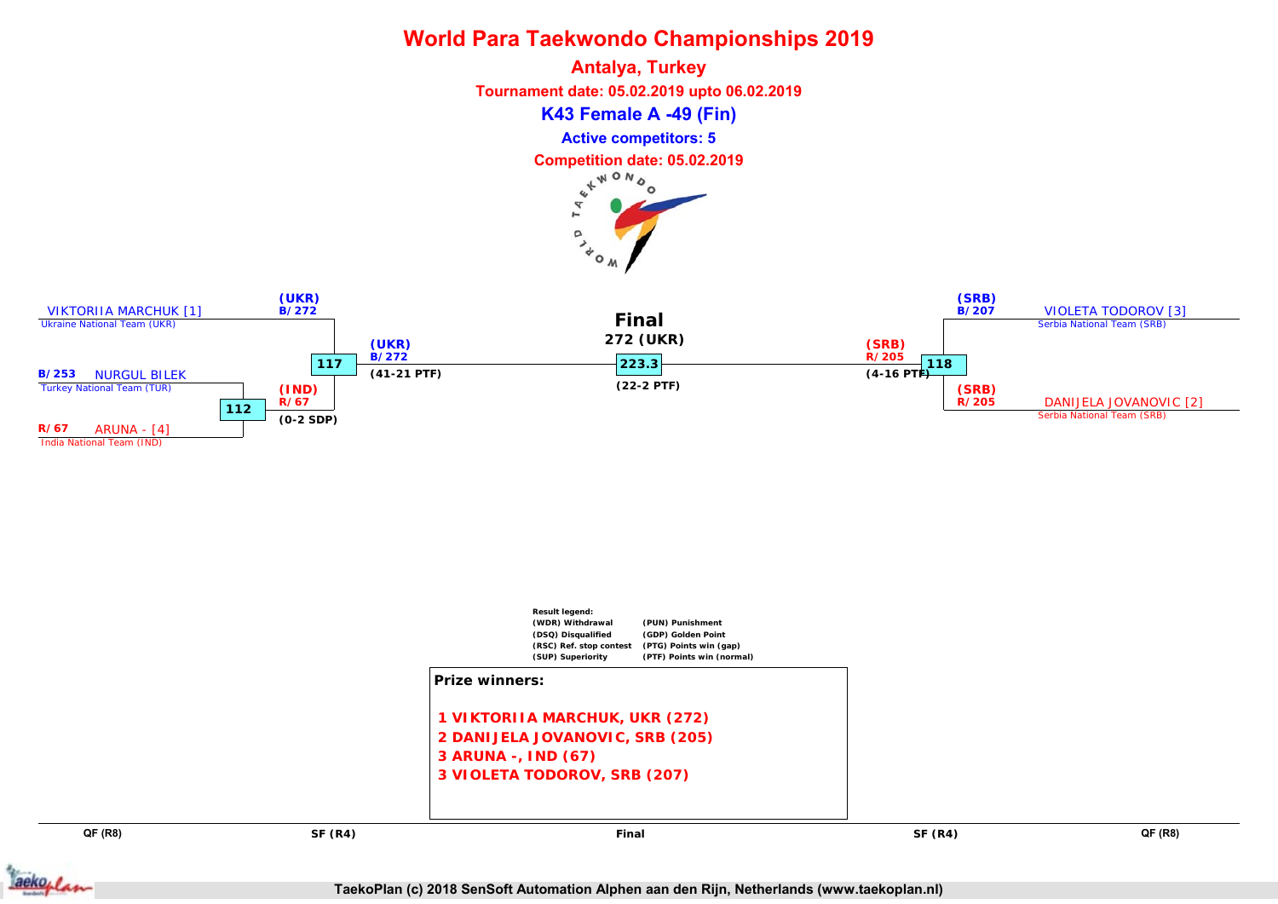**Antalya, Turkey Tournament date: 05.02.2019 upto 06.02.2019 K43 Female A -49 (Fin) Active competitors: 5 Competition date: 05.02.2019** r.  $\alpha$ 

 $40<sub>o</sub>$ 





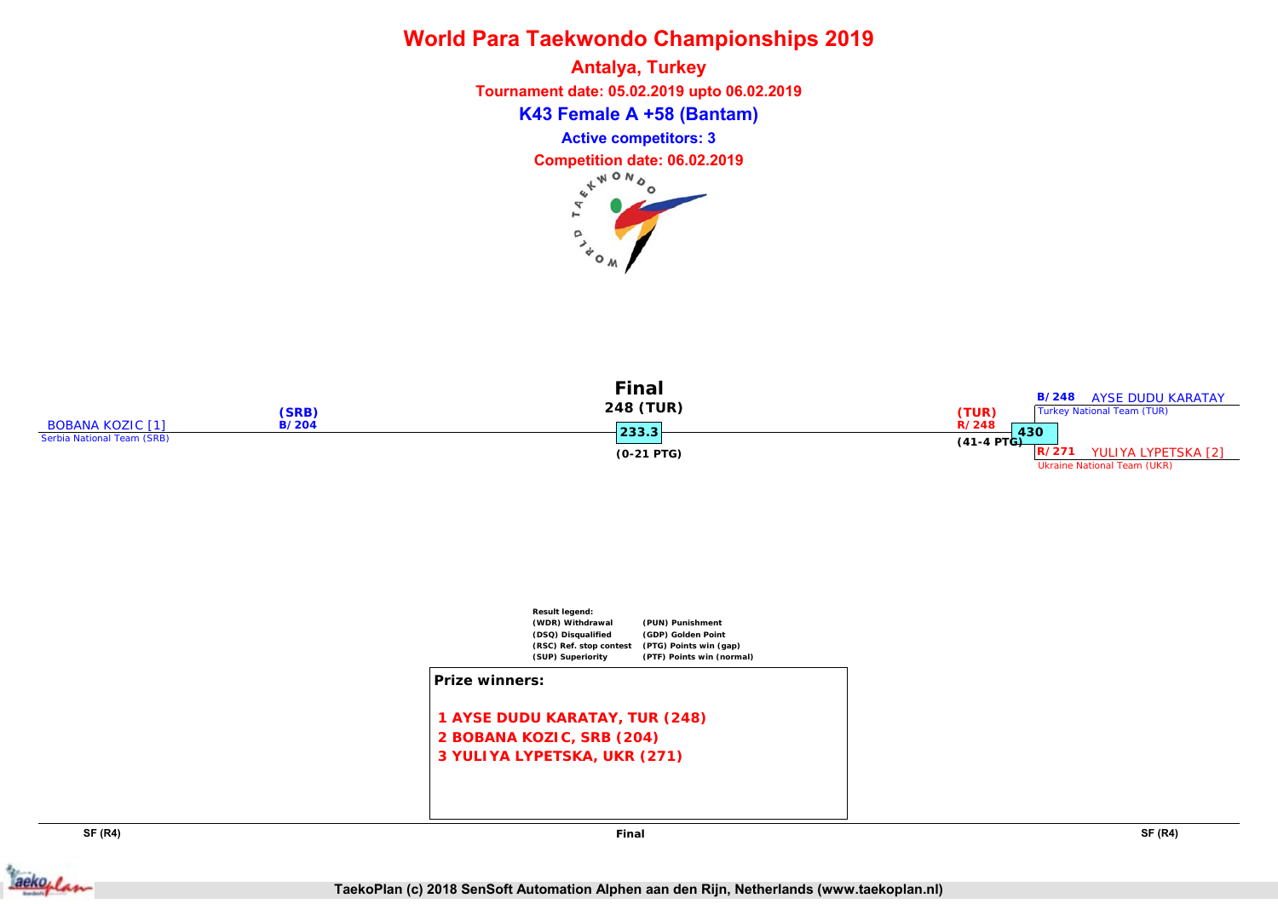**K43 Female A +58 (Bantam) Antalya, Turkey Tournament date: 05.02.2019 upto 06.02.2019 Competition date: 06.02.2019 Active competitors: 3**

> p  $\lambda_{\rm o}$





**SF (R4) SF (R4)**



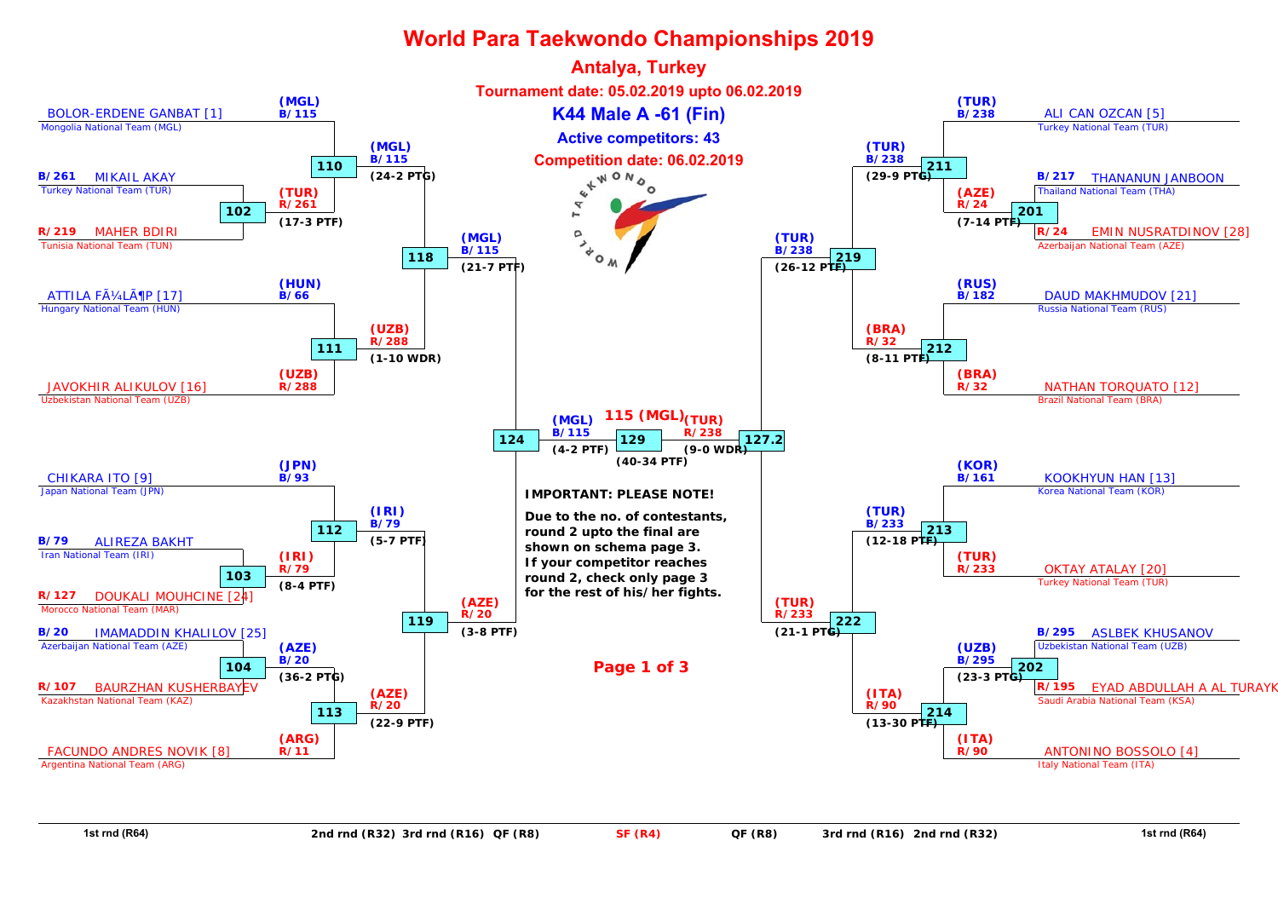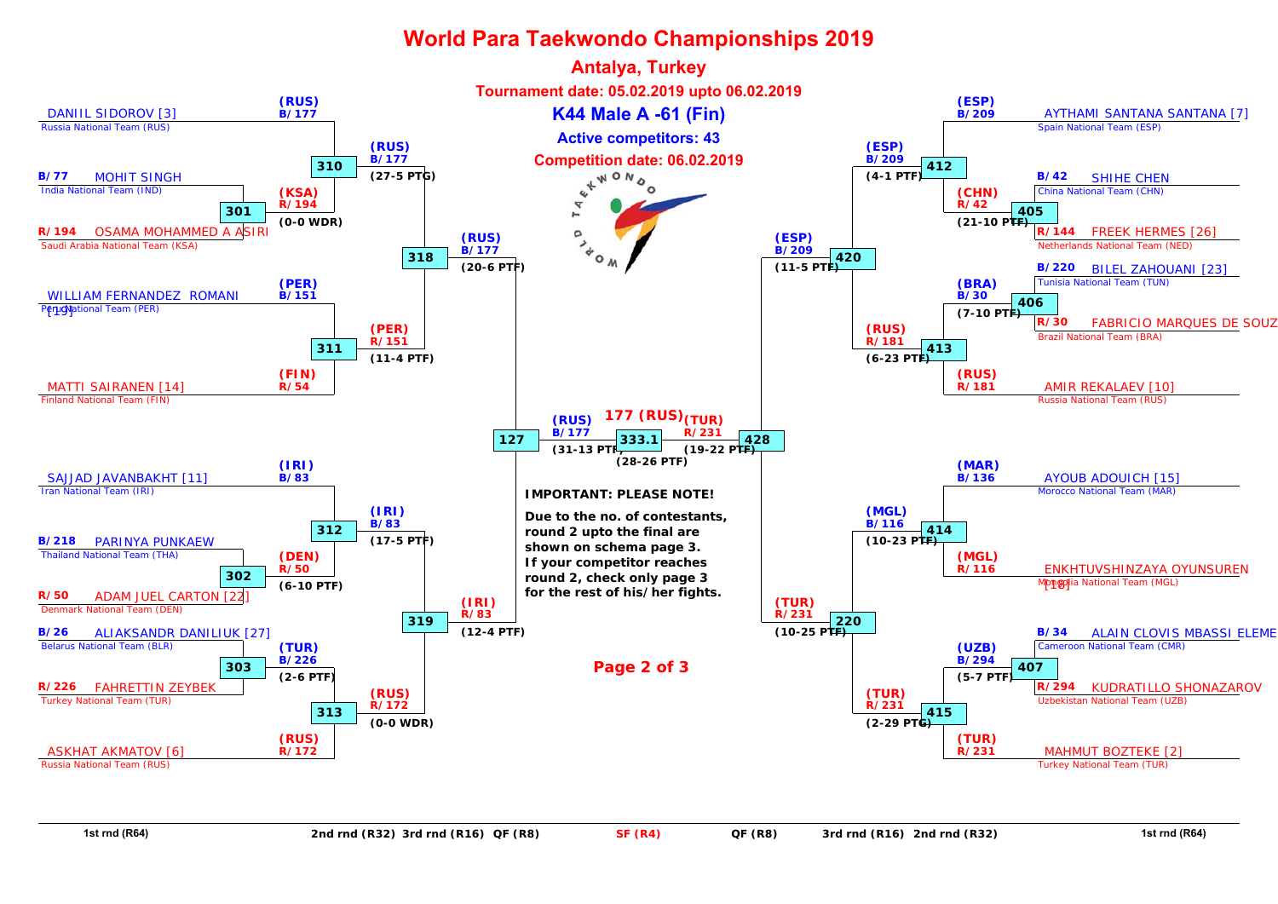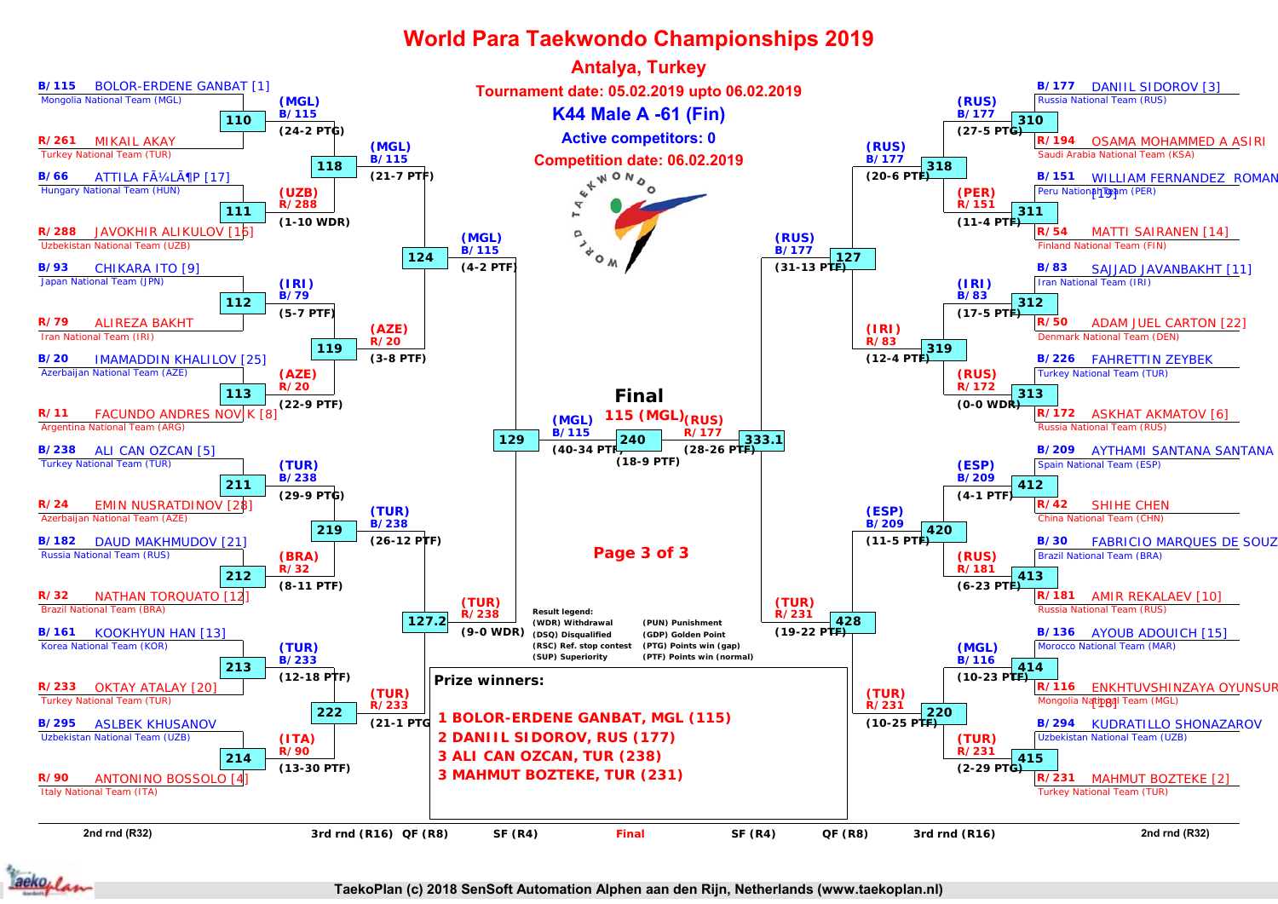

aekoplan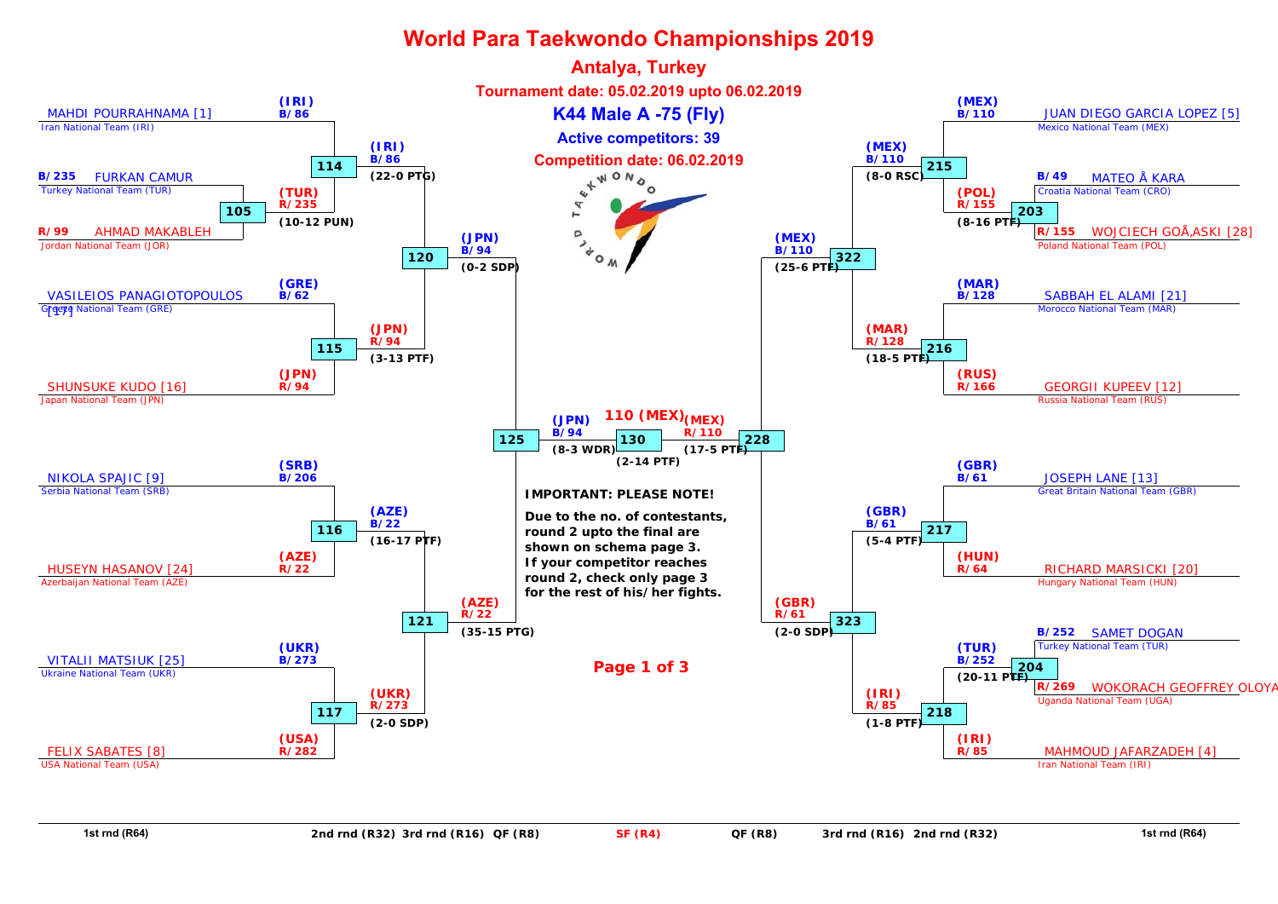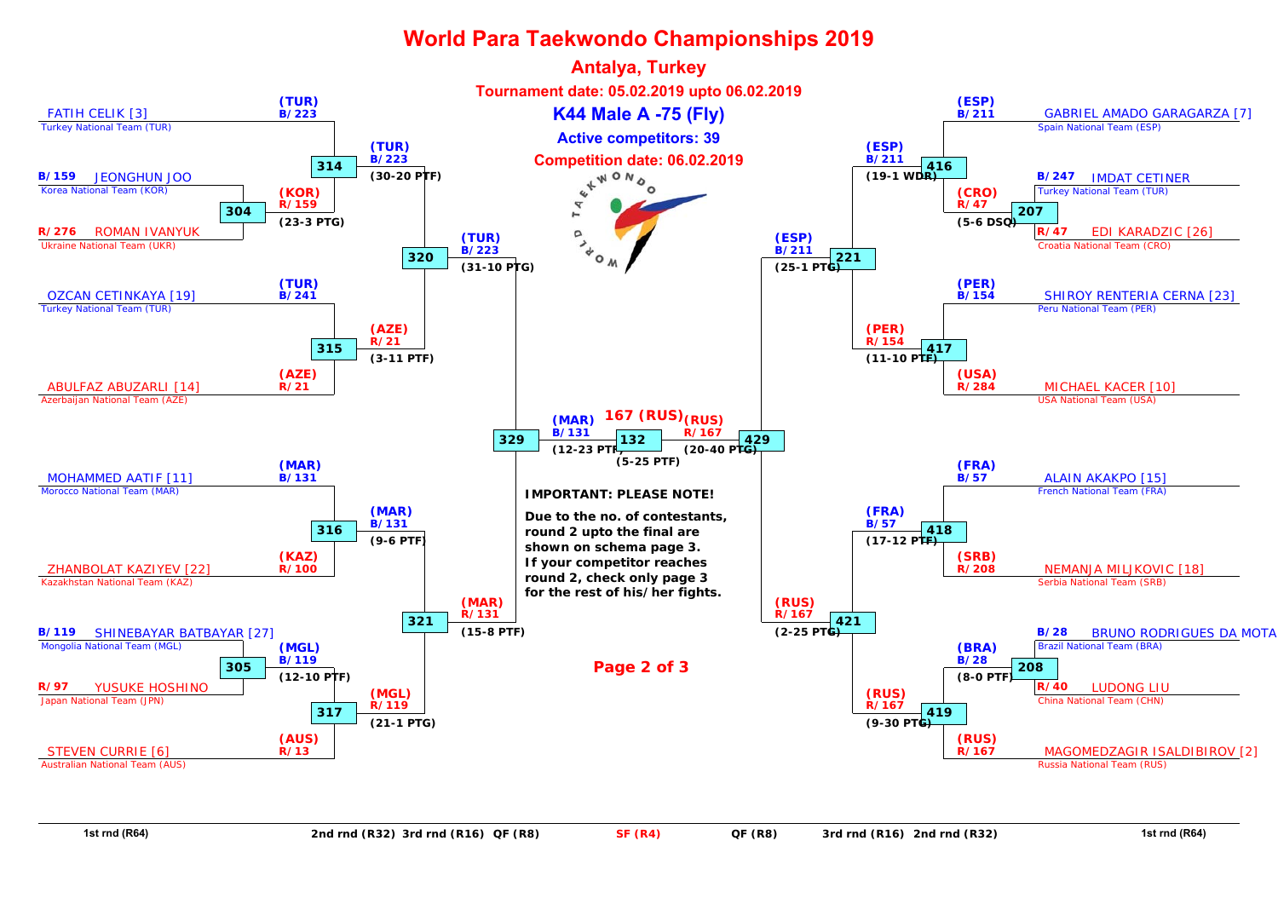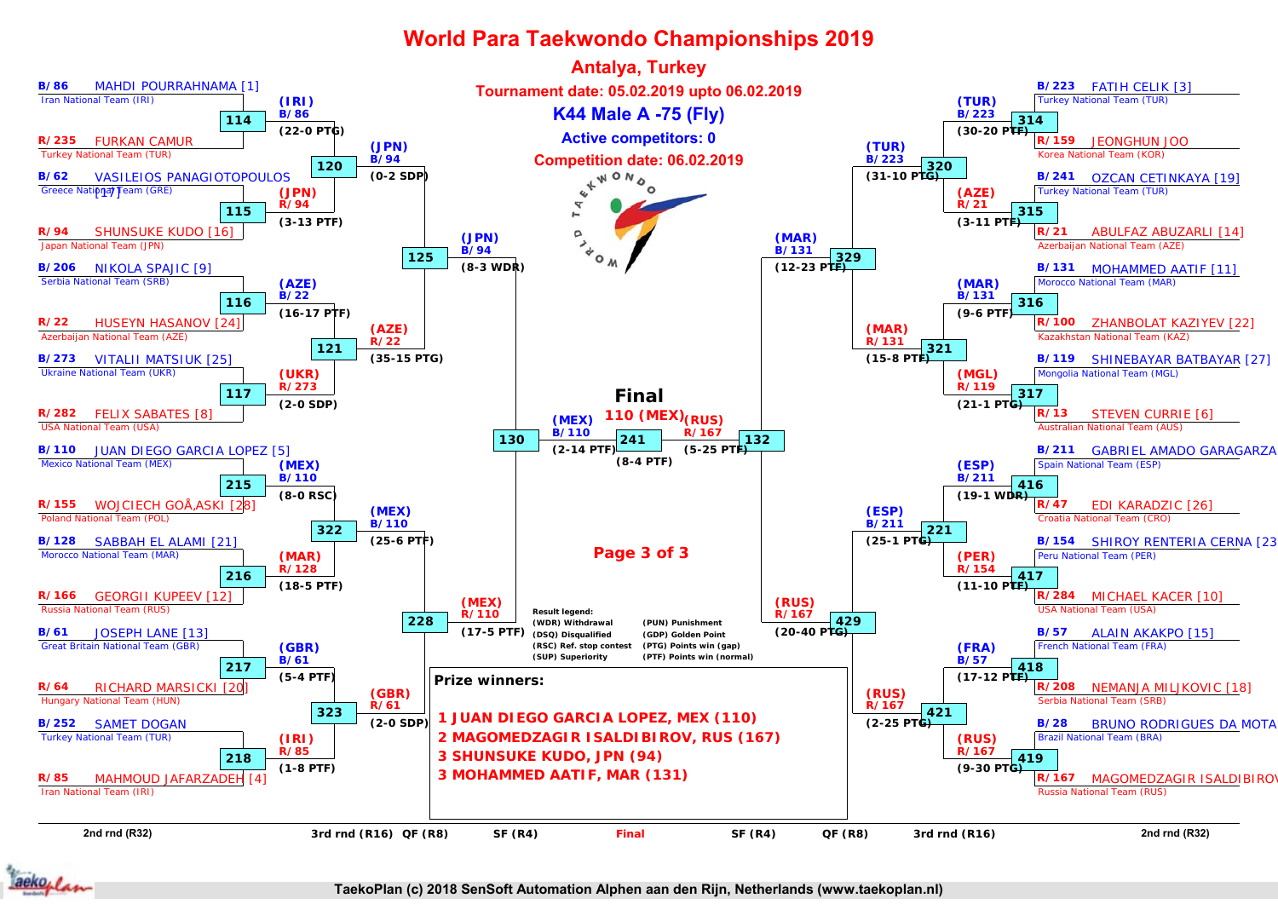

aekoplan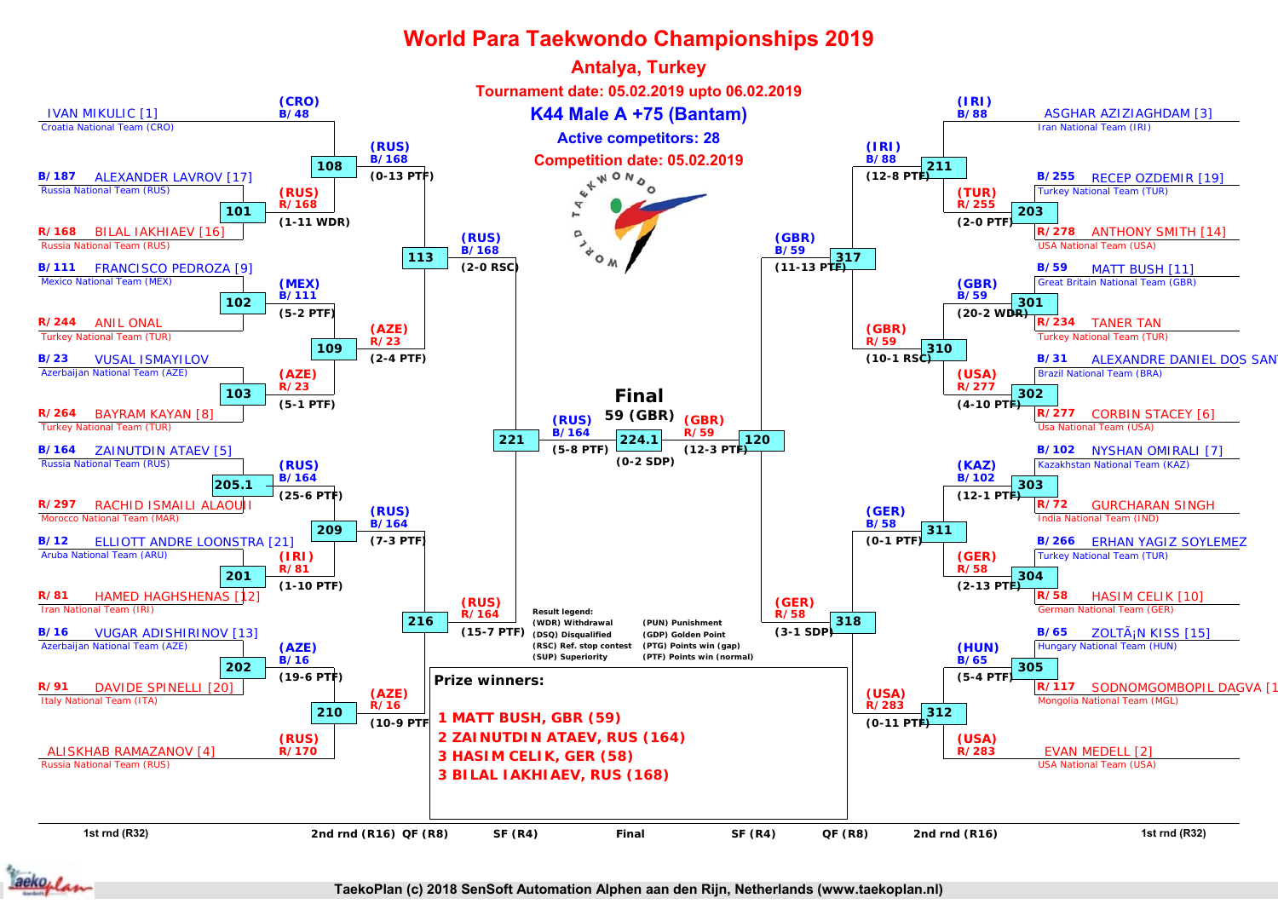

aekoplan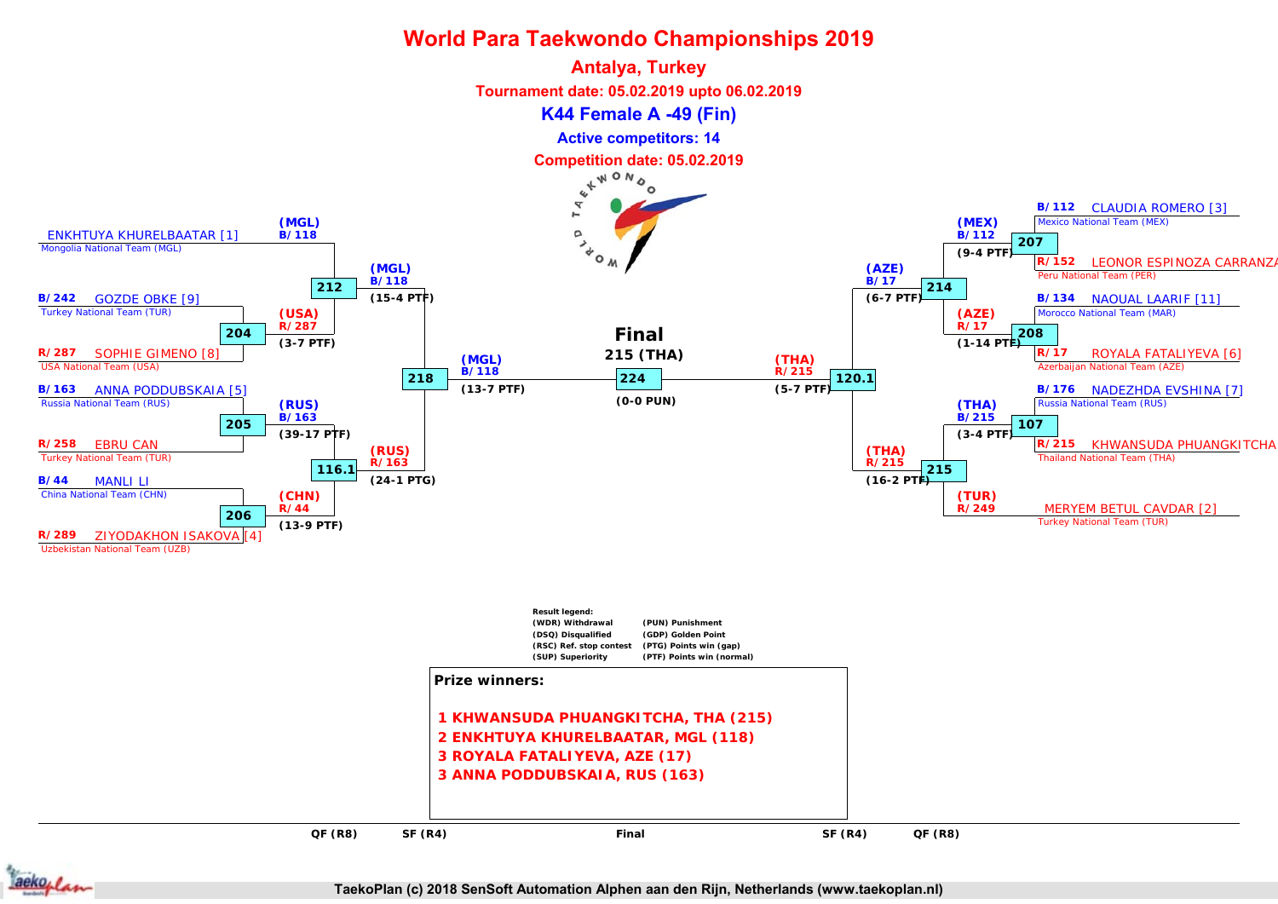



Uzbekistan National Team (UZB)



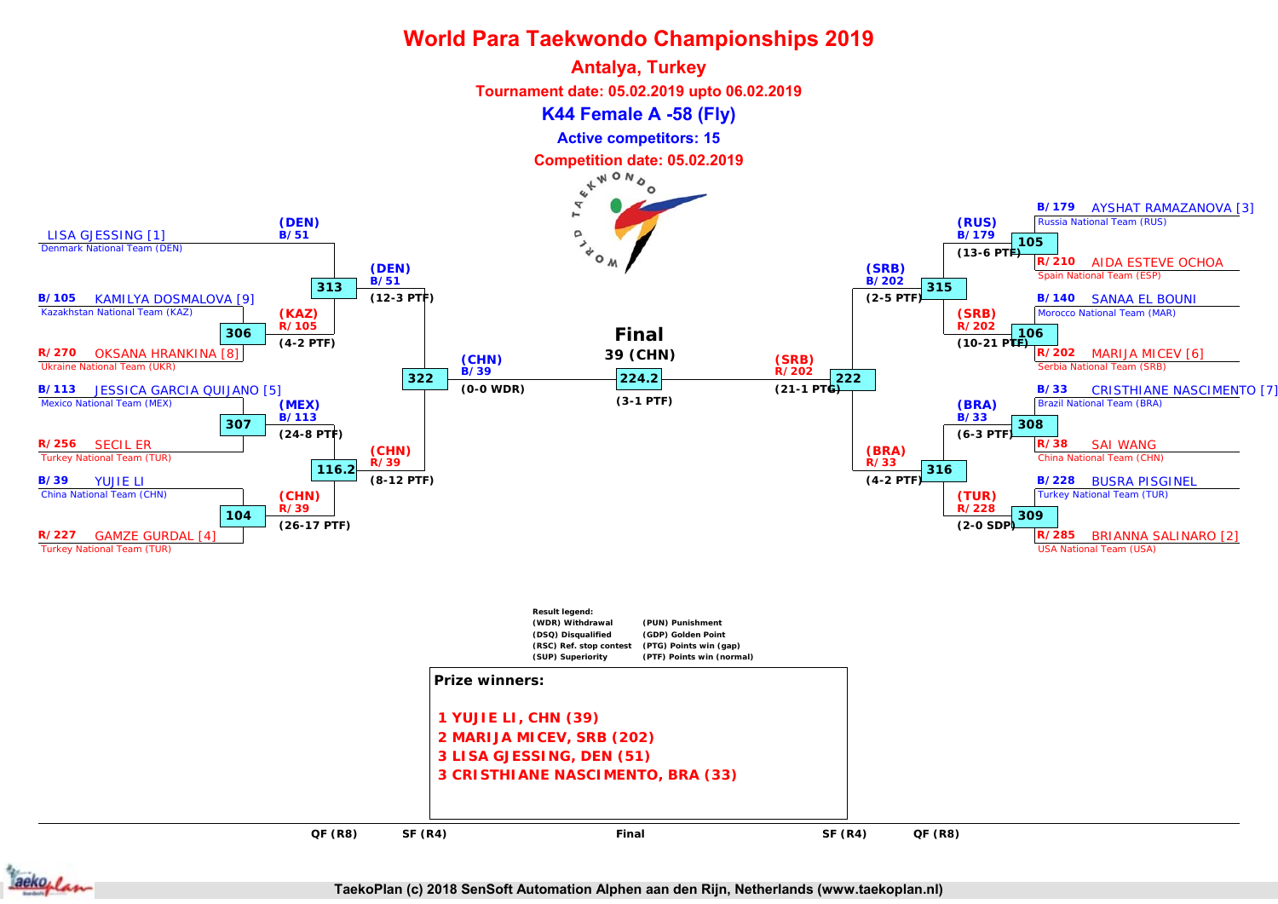



**TaekoPlan (c) 2018 SenSoft Automation Alphen aan den Rijn, Netherlands (www.taekoplan.nl)**